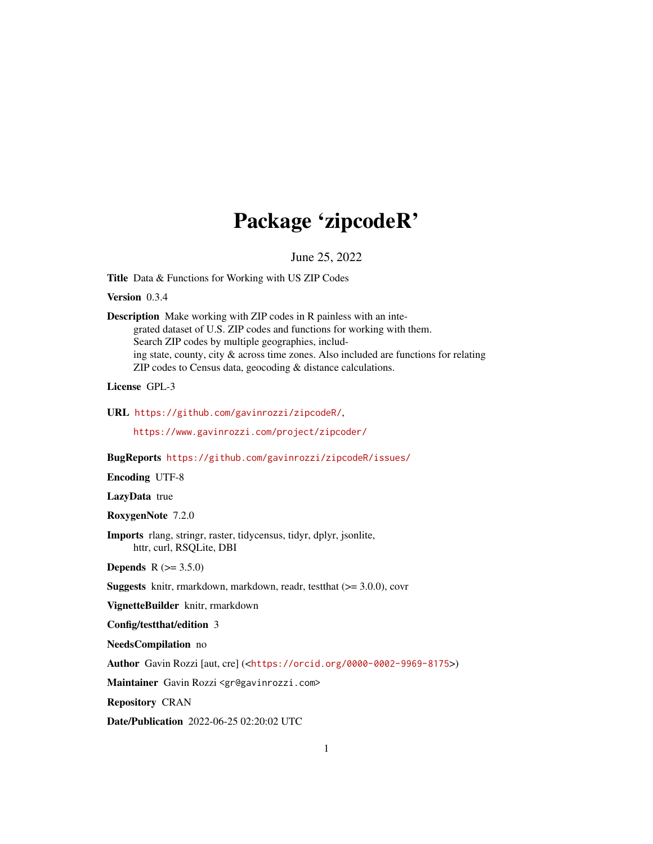## Package 'zipcodeR'

June 25, 2022

Title Data & Functions for Working with US ZIP Codes

Version 0.3.4

Description Make working with ZIP codes in R painless with an integrated dataset of U.S. ZIP codes and functions for working with them. Search ZIP codes by multiple geographies, including state, county, city & across time zones. Also included are functions for relating ZIP codes to Census data, geocoding & distance calculations.

License GPL-3

URL <https://github.com/gavinrozzi/zipcodeR/>,

<https://www.gavinrozzi.com/project/zipcoder/>

BugReports <https://github.com/gavinrozzi/zipcodeR/issues/>

Encoding UTF-8

LazyData true

RoxygenNote 7.2.0

Imports rlang, stringr, raster, tidycensus, tidyr, dplyr, jsonlite, httr, curl, RSQLite, DBI

**Depends**  $R (= 3.5.0)$ 

Suggests knitr, rmarkdown, markdown, readr, testthat (>= 3.0.0), covr

VignetteBuilder knitr, rmarkdown

Config/testthat/edition 3

NeedsCompilation no

Author Gavin Rozzi [aut, cre] (<<https://orcid.org/0000-0002-9969-8175>>)

Maintainer Gavin Rozzi <gr@gavinrozzi.com>

Repository CRAN

Date/Publication 2022-06-25 02:20:02 UTC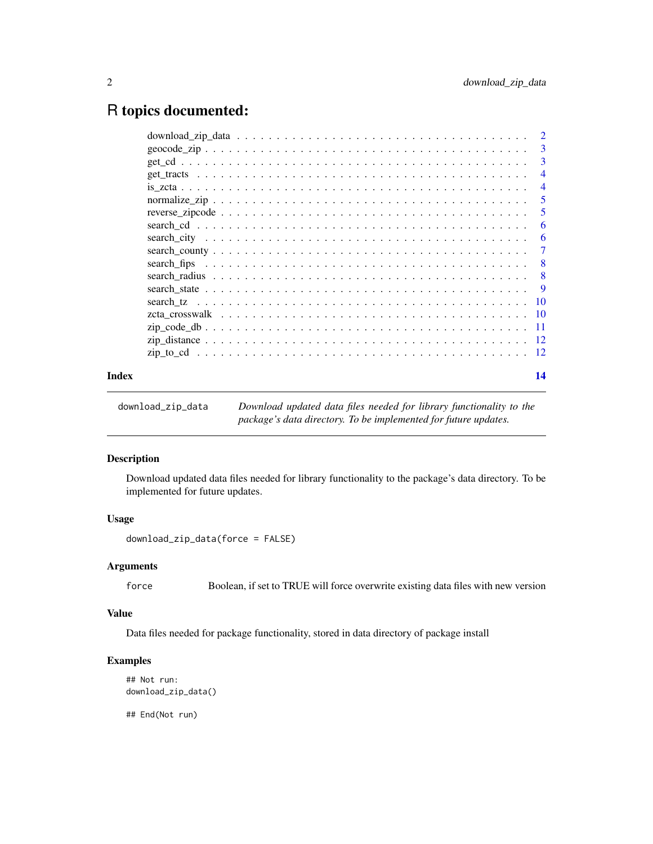### <span id="page-1-0"></span>R topics documented:

|       | $\overline{\mathbf{3}}$   |
|-------|---------------------------|
|       | 3                         |
|       | $\overline{4}$            |
|       | $\overline{4}$            |
|       | 5                         |
|       | 5                         |
|       | 6                         |
|       | -6                        |
|       | -7                        |
|       | $\overline{8}$            |
|       | $\overline{\phantom{0}}8$ |
|       |                           |
|       |                           |
|       |                           |
|       |                           |
|       |                           |
|       |                           |
| Index | 14                        |

| download_zip_data | Download updated data files needed for library functionality to the |
|-------------------|---------------------------------------------------------------------|
|                   | package's data directory. To be implemented for future updates.     |

#### Description

Download updated data files needed for library functionality to the package's data directory. To be implemented for future updates.

#### Usage

download\_zip\_data(force = FALSE)

#### Arguments

force Boolean, if set to TRUE will force overwrite existing data files with new version

#### Value

Data files needed for package functionality, stored in data directory of package install

#### Examples

```
## Not run:
download_zip_data()
```
## End(Not run)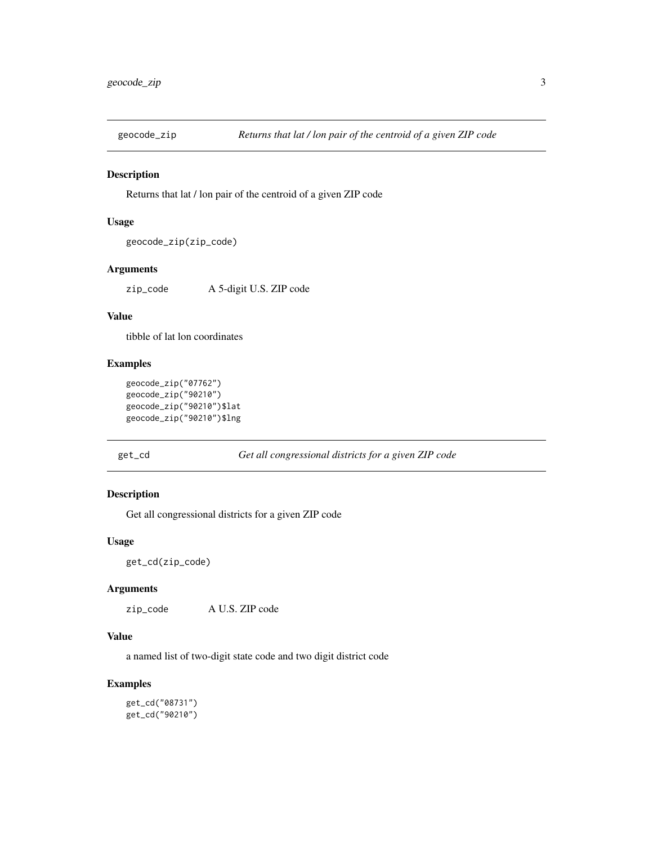<span id="page-2-0"></span>

Returns that lat / lon pair of the centroid of a given ZIP code

#### Usage

```
geocode_zip(zip_code)
```
#### Arguments

zip\_code A 5-digit U.S. ZIP code

#### Value

tibble of lat lon coordinates

#### Examples

```
geocode_zip("07762")
geocode_zip("90210")
geocode_zip("90210")$lat
geocode_zip("90210")$lng
```
get\_cd *Get all congressional districts for a given ZIP code*

#### Description

Get all congressional districts for a given ZIP code

#### Usage

get\_cd(zip\_code)

#### Arguments

zip\_code A U.S. ZIP code

#### Value

a named list of two-digit state code and two digit district code

#### Examples

get\_cd("08731") get\_cd("90210")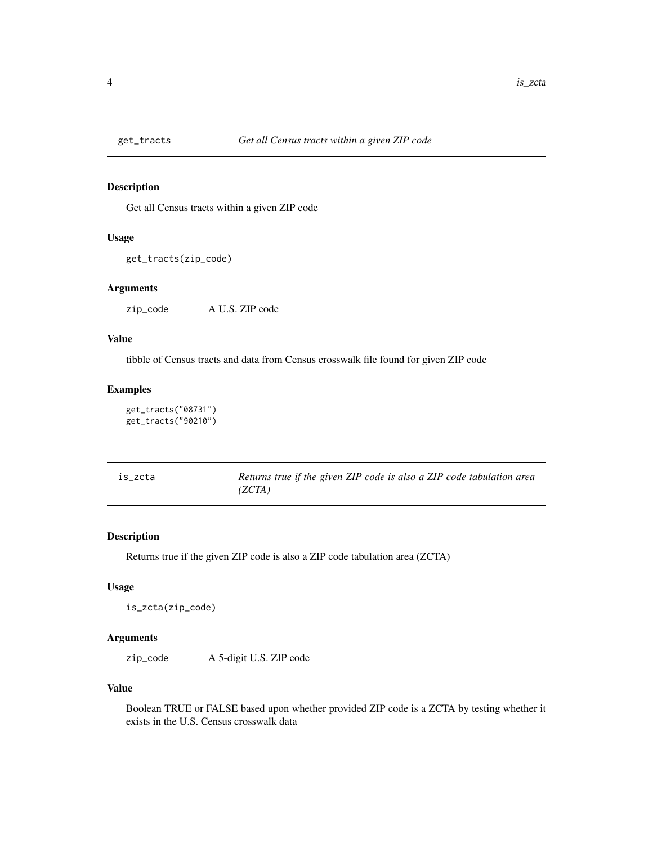<span id="page-3-0"></span>

Get all Census tracts within a given ZIP code

#### Usage

```
get_tracts(zip_code)
```
#### Arguments

zip\_code A U.S. ZIP code

#### Value

tibble of Census tracts and data from Census crosswalk file found for given ZIP code

#### Examples

```
get_tracts("08731")
get_tracts("90210")
```

| is zcta | Returns true if the given ZIP code is also a ZIP code tabulation area |
|---------|-----------------------------------------------------------------------|
|         | (ZCTA)                                                                |

#### Description

Returns true if the given ZIP code is also a ZIP code tabulation area (ZCTA)

#### Usage

is\_zcta(zip\_code)

#### Arguments

zip\_code A 5-digit U.S. ZIP code

#### Value

Boolean TRUE or FALSE based upon whether provided ZIP code is a ZCTA by testing whether it exists in the U.S. Census crosswalk data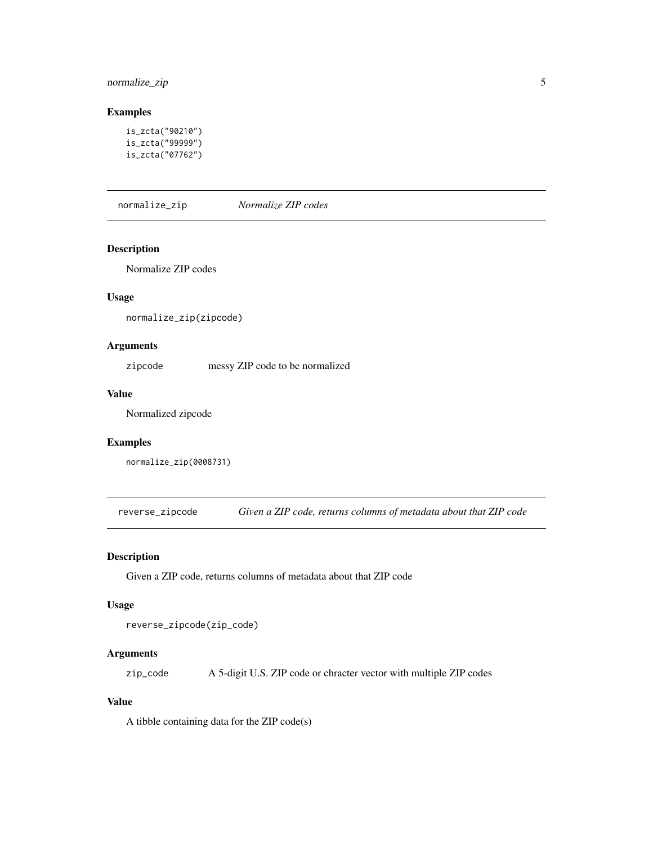#### <span id="page-4-0"></span>normalize\_zip 5

#### Examples

```
is_zcta("90210")
is_zcta("99999")
is_zcta("07762")
```
normalize\_zip *Normalize ZIP codes*

#### Description

Normalize ZIP codes

#### Usage

normalize\_zip(zipcode)

#### Arguments

zipcode messy ZIP code to be normalized

#### Value

Normalized zipcode

#### Examples

normalize\_zip(0008731)

reverse\_zipcode *Given a ZIP code, returns columns of metadata about that ZIP code*

#### Description

Given a ZIP code, returns columns of metadata about that ZIP code

#### Usage

reverse\_zipcode(zip\_code)

#### Arguments

zip\_code A 5-digit U.S. ZIP code or chracter vector with multiple ZIP codes

#### Value

A tibble containing data for the ZIP code(s)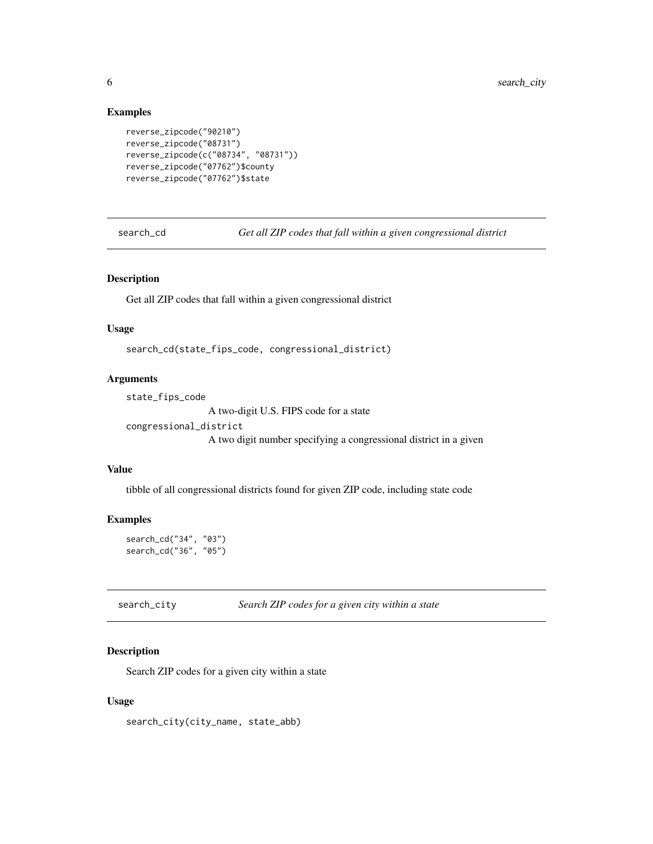#### Examples

```
reverse_zipcode("90210")
reverse_zipcode("08731")
reverse_zipcode(c("08734", "08731"))
reverse_zipcode("07762")$county
reverse_zipcode("07762")$state
```
search\_cd *Get all ZIP codes that fall within a given congressional district*

#### Description

Get all ZIP codes that fall within a given congressional district

#### Usage

search\_cd(state\_fips\_code, congressional\_district)

#### **Arguments**

```
state_fips_code
```
A two-digit U.S. FIPS code for a state

```
congressional_district
```
A two digit number specifying a congressional district in a given

#### Value

tibble of all congressional districts found for given ZIP code, including state code

#### Examples

```
search_cd("34", "03")
search_cd("36", "05")
```
search\_city *Search ZIP codes for a given city within a state*

#### Description

Search ZIP codes for a given city within a state

#### Usage

search\_city(city\_name, state\_abb)

<span id="page-5-0"></span>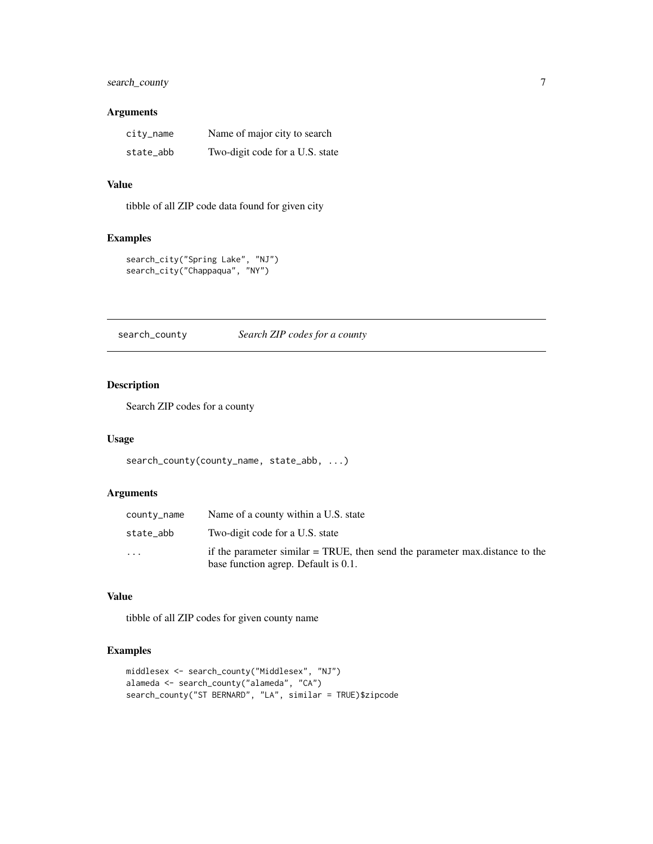#### <span id="page-6-0"></span>search\_county 7

#### Arguments

| city_name | Name of major city to search    |
|-----------|---------------------------------|
| state_abb | Two-digit code for a U.S. state |

#### Value

tibble of all ZIP code data found for given city

#### Examples

```
search_city("Spring Lake", "NJ")
search_city("Chappaqua", "NY")
```
search\_county *Search ZIP codes for a county*

#### Description

Search ZIP codes for a county

#### Usage

search\_county(county\_name, state\_abb, ...)

#### Arguments

| county_name             | Name of a county within a U.S. state                                                                                   |
|-------------------------|------------------------------------------------------------------------------------------------------------------------|
| state_abb               | Two-digit code for a U.S. state                                                                                        |
| $\cdot$ $\cdot$ $\cdot$ | if the parameter similar $=$ TRUE, then send the parameter max distance to the<br>base function agrep. Default is 0.1. |

#### Value

tibble of all ZIP codes for given county name

#### Examples

```
middlesex <- search_county("Middlesex", "NJ")
alameda <- search_county("alameda", "CA")
search_county("ST BERNARD", "LA", similar = TRUE)$zipcode
```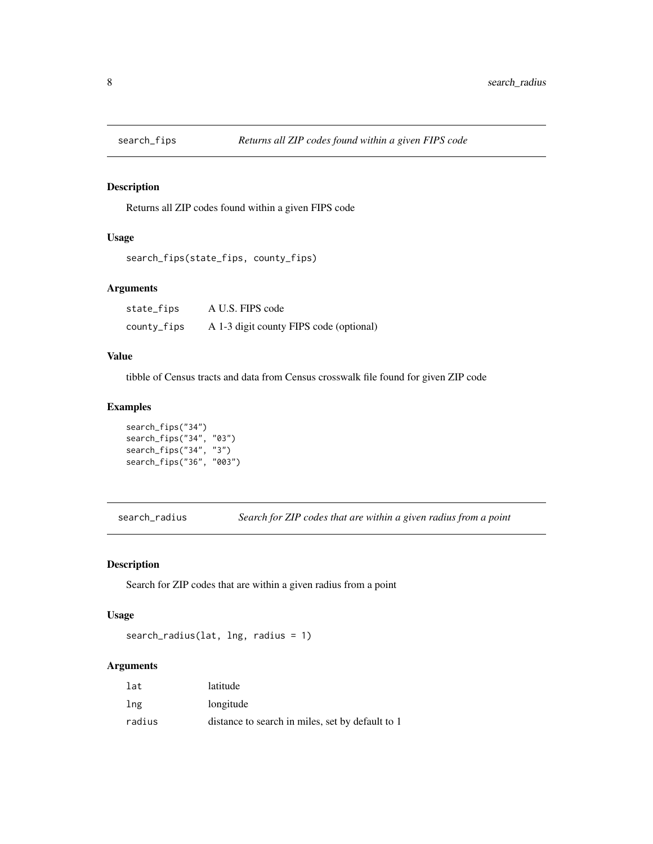<span id="page-7-0"></span>

Returns all ZIP codes found within a given FIPS code

#### Usage

```
search_fips(state_fips, county_fips)
```
#### Arguments

| state_fips  | A U.S. FIPS code                        |
|-------------|-----------------------------------------|
| county_fips | A 1-3 digit county FIPS code (optional) |

#### Value

tibble of Census tracts and data from Census crosswalk file found for given ZIP code

#### Examples

```
search_fips("34")
search_fips("34", "03")
search_fips("34", "3")
search_fips("36", "003")
```
search\_radius *Search for ZIP codes that are within a given radius from a point*

#### Description

Search for ZIP codes that are within a given radius from a point

#### Usage

search\_radius(lat, lng, radius = 1)

#### Arguments

| lat    | latitude                                         |
|--------|--------------------------------------------------|
| lng    | longitude                                        |
| radius | distance to search in miles, set by default to 1 |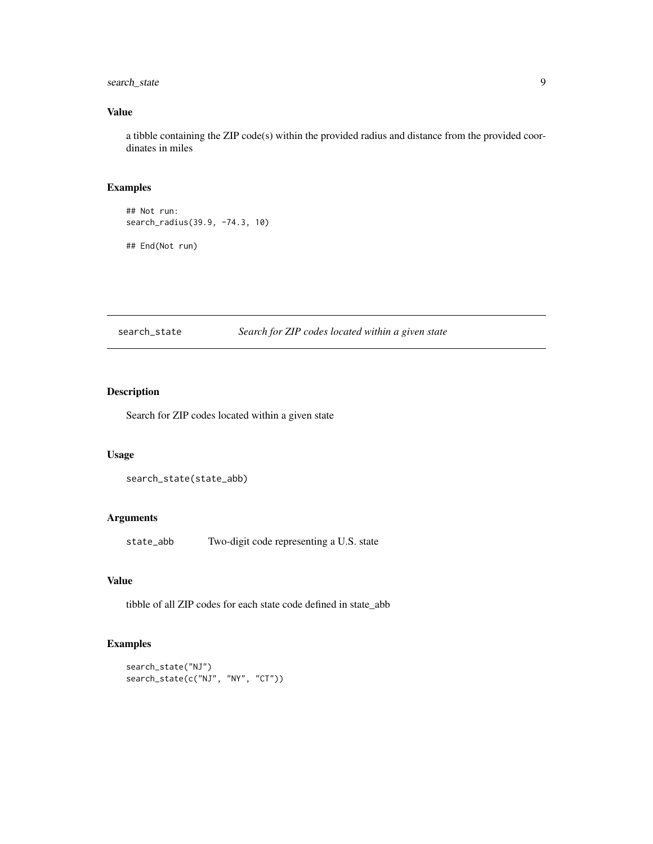#### <span id="page-8-0"></span>search\_state 9

#### Value

a tibble containing the ZIP code(s) within the provided radius and distance from the provided coordinates in miles

#### Examples

## Not run: search\_radius(39.9, -74.3, 10)

## End(Not run)

search\_state *Search for ZIP codes located within a given state*

#### Description

Search for ZIP codes located within a given state

#### Usage

```
search_state(state_abb)
```
#### Arguments

state\_abb Two-digit code representing a U.S. state

#### Value

tibble of all ZIP codes for each state code defined in state\_abb

#### Examples

```
search_state("NJ")
search_state(c("NJ", "NY", "CT"))
```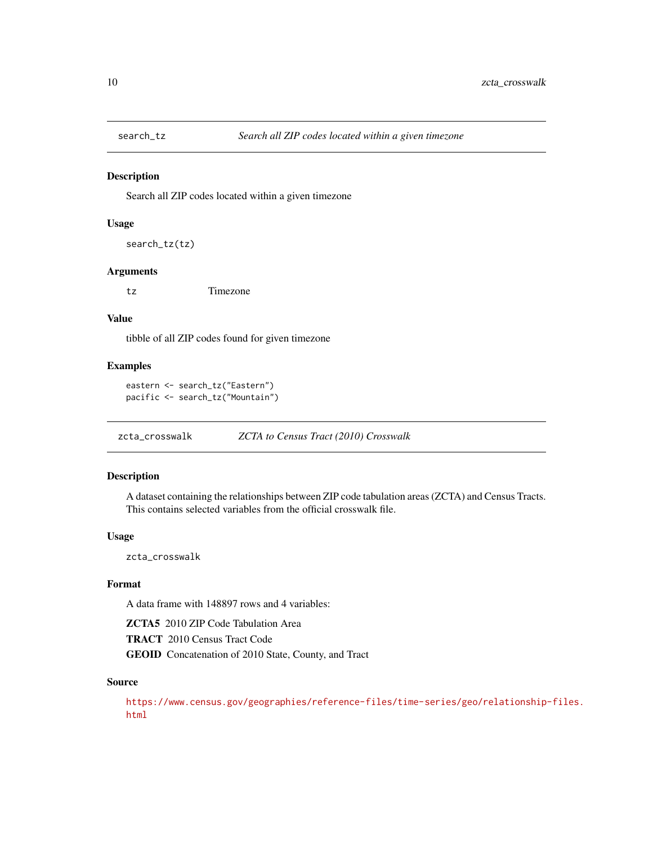<span id="page-9-0"></span>

Search all ZIP codes located within a given timezone

#### Usage

```
search_tz(tz)
```
#### Arguments

tz Timezone

#### Value

tibble of all ZIP codes found for given timezone

#### Examples

```
eastern <- search_tz("Eastern")
pacific <- search_tz("Mountain")
```
zcta\_crosswalk *ZCTA to Census Tract (2010) Crosswalk*

#### Description

A dataset containing the relationships between ZIP code tabulation areas (ZCTA) and Census Tracts. This contains selected variables from the official crosswalk file.

#### Usage

zcta\_crosswalk

#### Format

A data frame with 148897 rows and 4 variables:

ZCTA5 2010 ZIP Code Tabulation Area TRACT 2010 Census Tract Code

GEOID Concatenation of 2010 State, County, and Tract

#### Source

[https://www.census.gov/geographies/reference-files/time-series/geo/relationship-](https://www.census.gov/geographies/reference-files/time-series/geo/relationship-files.html)files. [html](https://www.census.gov/geographies/reference-files/time-series/geo/relationship-files.html)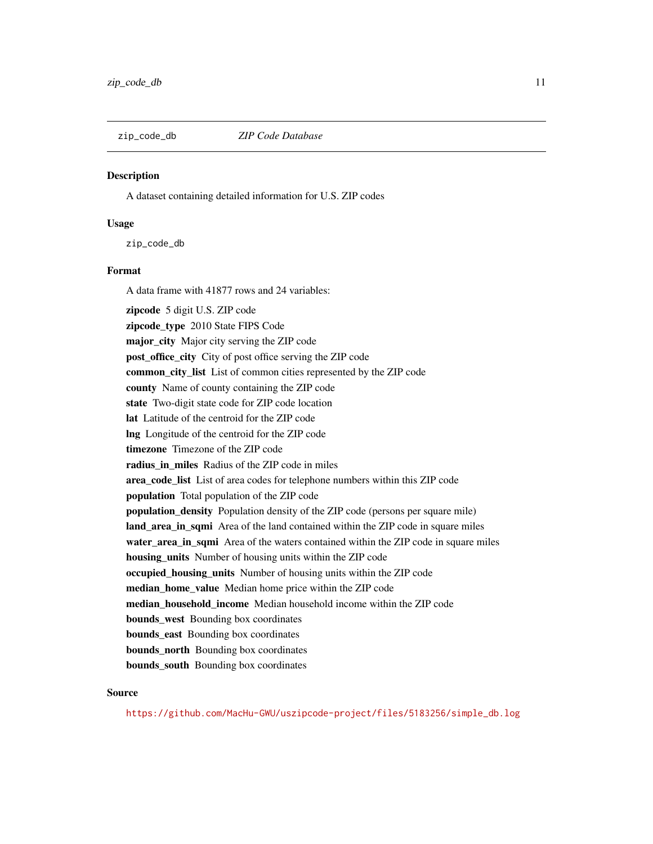<span id="page-10-0"></span>

A dataset containing detailed information for U.S. ZIP codes

#### Usage

zip\_code\_db

#### Format

A data frame with 41877 rows and 24 variables: zipcode 5 digit U.S. ZIP code zipcode\_type 2010 State FIPS Code major\_city Major city serving the ZIP code post\_office\_city City of post office serving the ZIP code common\_city\_list List of common cities represented by the ZIP code county Name of county containing the ZIP code state Two-digit state code for ZIP code location lat Latitude of the centroid for the ZIP code lng Longitude of the centroid for the ZIP code timezone Timezone of the ZIP code radius in miles Radius of the ZIP code in miles area\_code\_list List of area codes for telephone numbers within this ZIP code population Total population of the ZIP code population density Population density of the ZIP code (persons per square mile) land\_area\_in\_sqmi Area of the land contained within the ZIP code in square miles water\_area\_in\_sqmi Area of the waters contained within the ZIP code in square miles housing\_units Number of housing units within the ZIP code occupied\_housing\_units Number of housing units within the ZIP code median home value Median home price within the ZIP code median\_household\_income Median household income within the ZIP code **bounds** west Bounding box coordinates **bounds** east Bounding box coordinates bounds\_north Bounding box coordinates bounds\_south Bounding box coordinates

#### Source

[https://github.com/MacHu-GWU/uszipcode-project/files/5183256/simple\\_db.log](https://github.com/MacHu-GWU/uszipcode-project/files/5183256/simple_db.log)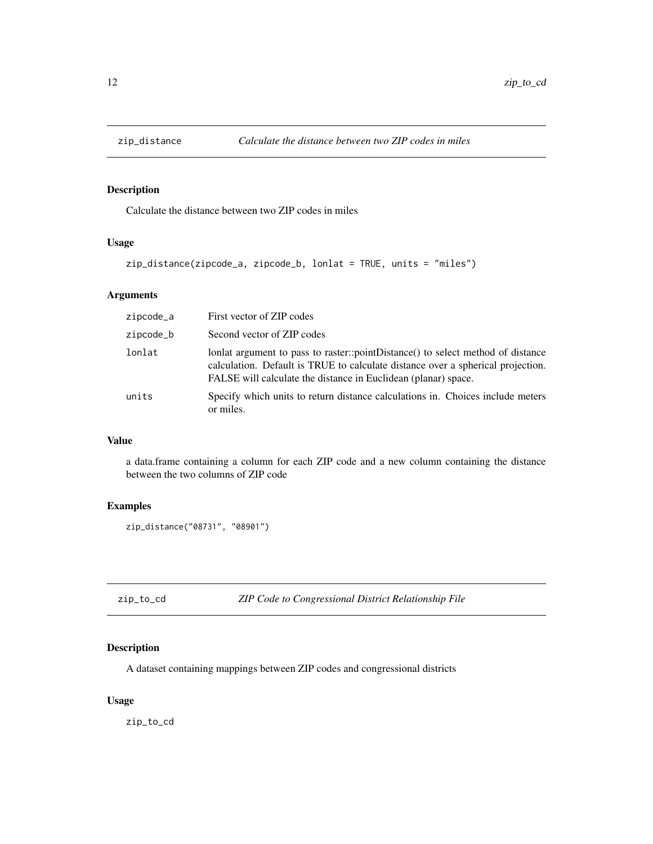<span id="page-11-0"></span>

Calculate the distance between two ZIP codes in miles

#### Usage

```
zip_distance(zipcode_a, zipcode_b, lonlat = TRUE, units = "miles")
```
#### Arguments

| zipcode_a | First vector of ZIP codes                                                                                                                                                                                                            |
|-----------|--------------------------------------------------------------------------------------------------------------------------------------------------------------------------------------------------------------------------------------|
| zipcode_b | Second vector of ZIP codes                                                                                                                                                                                                           |
| lonlat    | lonlat argument to pass to raster::pointDistance() to select method of distance<br>calculation. Default is TRUE to calculate distance over a spherical projection.<br>FALSE will calculate the distance in Euclidean (planar) space. |
| units     | Specify which units to return distance calculations in. Choices include meters<br>or miles.                                                                                                                                          |

#### Value

a data.frame containing a column for each ZIP code and a new column containing the distance between the two columns of ZIP code

#### Examples

```
zip_distance("08731", "08901")
```
zip\_to\_cd *ZIP Code to Congressional District Relationship File*

#### Description

A dataset containing mappings between ZIP codes and congressional districts

#### Usage

zip\_to\_cd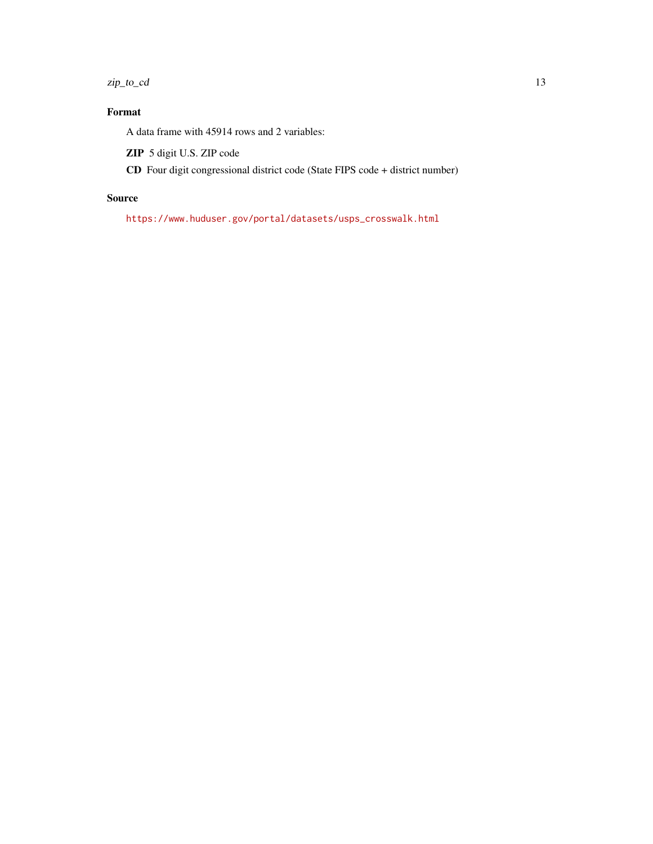zip\_to\_cd 13

#### Format

A data frame with 45914 rows and 2 variables:

ZIP 5 digit U.S. ZIP code

CD Four digit congressional district code (State FIPS code + district number)

#### Source

[https://www.huduser.gov/portal/datasets/usps\\_crosswalk.html](https://www.huduser.gov/portal/datasets/usps_crosswalk.html)